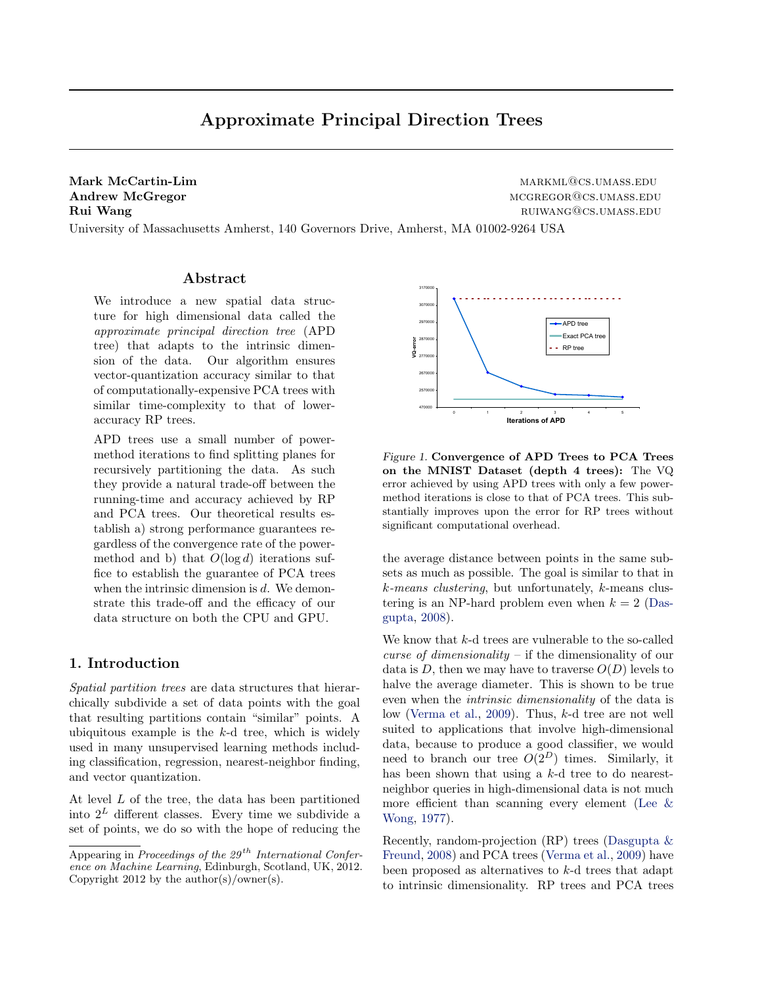<span id="page-0-0"></span>Mark McCartin-Lim market and the market of the market market and market and market market and market market and market and market and market and market and market and market and market and market and market and market and Andrew McGregor materials and the material method of the method method of the method method method method method method method method method method method method method method method method method method method method meth Rui Wang ruimang ruimang ruimang ruimang ruimang ruimang ruimang ruimang ruimang ruimang ruimang ruimang ruiman

University of Massachusetts Amherst, 140 Governors Drive, Amherst, MA 01002-9264 USA

### Abstract

We introduce a new spatial data structure for high dimensional data called the approximate principal direction tree (APD tree) that adapts to the intrinsic dimension of the data. Our algorithm ensures vector-quantization accuracy similar to that of computationally-expensive PCA trees with similar time-complexity to that of loweraccuracy RP trees.

APD trees use a small number of powermethod iterations to find splitting planes for recursively partitioning the data. As such they provide a natural trade-off between the running-time and accuracy achieved by RP and PCA trees. Our theoretical results establish a) strong performance guarantees regardless of the convergence rate of the powermethod and b) that  $O(\log d)$  iterations suffice to establish the guarantee of PCA trees when the intrinsic dimension is  $d$ . We demonstrate this trade-off and the efficacy of our data structure on both the CPU and GPU.

# 1. Introduction

Spatial partition trees are data structures that hierarchically subdivide a set of data points with the goal that resulting partitions contain "similar" points. A ubiquitous example is the  $k$ -d tree, which is widely used in many unsupervised learning methods including classification, regression, nearest-neighbor finding, and vector quantization.

At level L of the tree, the data has been partitioned into  $2^L$  different classes. Every time we subdivide a set of points, we do so with the hope of reducing the



Figure 1. Convergence of APD Trees to PCA Trees on the MNIST Dataset (depth 4 trees): The VQ error achieved by using APD trees with only a few powermethod iterations is close to that of PCA trees. This substantially improves upon the error for RP trees without significant computational overhead.

the average distance between points in the same subsets as much as possible. The goal is similar to that in k-means clustering, but unfortunately, k-means clustering is an NP-hard problem even when  $k = 2$  [\(Das](#page-7-0)[gupta,](#page-7-0) [2008\)](#page-7-0).

We know that k-d trees are vulnerable to the so-called *curse of dimensionality* – if the dimensionality of our data is D, then we may have to traverse  $O(D)$  levels to halve the average diameter. This is shown to be true even when the intrinsic dimensionality of the data is low [\(Verma et al.,](#page-7-0) [2009\)](#page-7-0). Thus, k-d tree are not well suited to applications that involve high-dimensional data, because to produce a good classifier, we would need to branch our tree  $O(2^D)$  times. Similarly, it has been shown that using a k-d tree to do nearestneighbor queries in high-dimensional data is not much more efficient than scanning every element (Lee  $\&$ [Wong,](#page-7-0) [1977\)](#page-7-0).

Recently, random-projection (RP) trees [\(Dasgupta &](#page-7-0) [Freund,](#page-7-0) [2008\)](#page-7-0) and PCA trees [\(Verma et al.,](#page-7-0) [2009\)](#page-7-0) have been proposed as alternatives to k-d trees that adapt to intrinsic dimensionality. RP trees and PCA trees

Appearing in Proceedings of the  $29^{th}$  International Conference on Machine Learning, Edinburgh, Scotland, UK, 2012. Copyright 2012 by the author(s)/owner(s).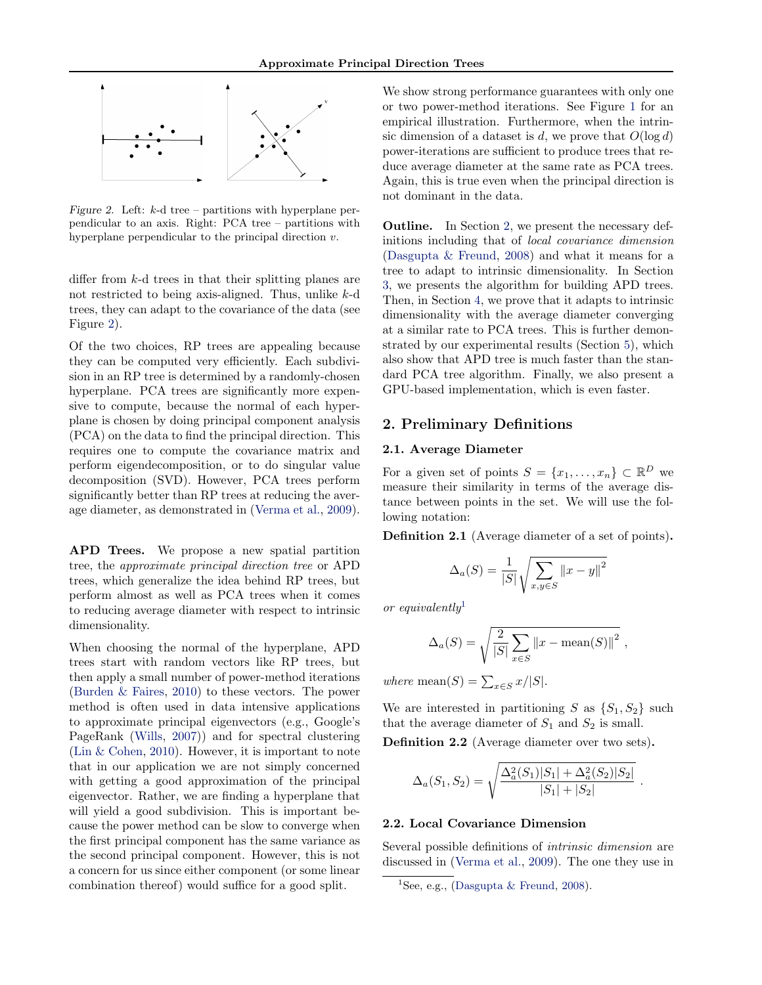

Figure 2. Left:  $k$ -d tree – partitions with hyperplane perpendicular to an axis. Right: PCA tree – partitions with hyperplane perpendicular to the principal direction v.

differ from  $k$ -d trees in that their splitting planes are not restricted to being axis-aligned. Thus, unlike k-d trees, they can adapt to the covariance of the data (see Figure 2).

Of the two choices, RP trees are appealing because they can be computed very efficiently. Each subdivision in an RP tree is determined by a randomly-chosen hyperplane. PCA trees are significantly more expensive to compute, because the normal of each hyperplane is chosen by doing principal component analysis (PCA) on the data to find the principal direction. This requires one to compute the covariance matrix and perform eigendecomposition, or to do singular value decomposition (SVD). However, PCA trees perform significantly better than RP trees at reducing the average diameter, as demonstrated in [\(Verma et al.,](#page-7-0) [2009\)](#page-7-0).

APD Trees. We propose a new spatial partition tree, the approximate principal direction tree or APD trees, which generalize the idea behind RP trees, but perform almost as well as PCA trees when it comes to reducing average diameter with respect to intrinsic dimensionality.

When choosing the normal of the hyperplane, APD trees start with random vectors like RP trees, but then apply a small number of power-method iterations [\(Burden & Faires,](#page-7-0) [2010\)](#page-7-0) to these vectors. The power method is often used in data intensive applications to approximate principal eigenvectors (e.g., Google's PageRank [\(Wills,](#page-7-0) [2007\)](#page-7-0)) and for spectral clustering [\(Lin & Cohen,](#page-7-0) [2010\)](#page-7-0). However, it is important to note that in our application we are not simply concerned with getting a good approximation of the principal eigenvector. Rather, we are finding a hyperplane that will yield a good subdivision. This is important because the power method can be slow to converge when the first principal component has the same variance as the second principal component. However, this is not a concern for us since either component (or some linear combination thereof) would suffice for a good split.

We show strong performance guarantees with only one or two power-method iterations. See Figure [1](#page-0-0) for an empirical illustration. Furthermore, when the intrinsic dimension of a dataset is d, we prove that  $O(\log d)$ power-iterations are sufficient to produce trees that reduce average diameter at the same rate as PCA trees. Again, this is true even when the principal direction is not dominant in the data.

Outline. In Section 2, we present the necessary definitions including that of local covariance dimension [\(Dasgupta & Freund,](#page-7-0) [2008\)](#page-7-0) and what it means for a tree to adapt to intrinsic dimensionality. In Section [3,](#page-2-0) we presents the algorithm for building APD trees. Then, in Section [4,](#page-4-0) we prove that it adapts to intrinsic dimensionality with the average diameter converging at a similar rate to PCA trees. This is further demonstrated by our experimental results (Section [5\)](#page-6-0), which also show that APD tree is much faster than the standard PCA tree algorithm. Finally, we also present a GPU-based implementation, which is even faster.

# 2. Preliminary Definitions

### 2.1. Average Diameter

For a given set of points  $S = \{x_1, \ldots, x_n\} \subset \mathbb{R}^D$  we measure their similarity in terms of the average distance between points in the set. We will use the following notation:

Definition 2.1 (Average diameter of a set of points).

$$
\Delta_a(S) = \frac{1}{|S|} \sqrt{\sum_{x,y \in S} ||x - y||^2}
$$

or equivalently<sup>1</sup>

$$
\Delta_a(S) = \sqrt{\frac{2}{|S|} \sum_{x \in S} ||x - \text{mean}(S)||^2},
$$

where mean(S) =  $\sum_{x \in S} x/|S|$ .

We are interested in partitioning S as  $\{S_1, S_2\}$  such that the average diameter of  $S_1$  and  $S_2$  is small.

Definition 2.2 (Average diameter over two sets).

$$
\Delta_a(S_1, S_2) = \sqrt{\frac{\Delta_a^2(S_1)|S_1| + \Delta_a^2(S_2)|S_2|}{|S_1| + |S_2|}}
$$

.

#### 2.2. Local Covariance Dimension

Several possible definitions of intrinsic dimension are discussed in [\(Verma et al.,](#page-7-0) [2009\)](#page-7-0). The one they use in

<sup>&</sup>lt;sup>1</sup>See, e.g., [\(Dasgupta & Freund,](#page-7-0) [2008\)](#page-7-0).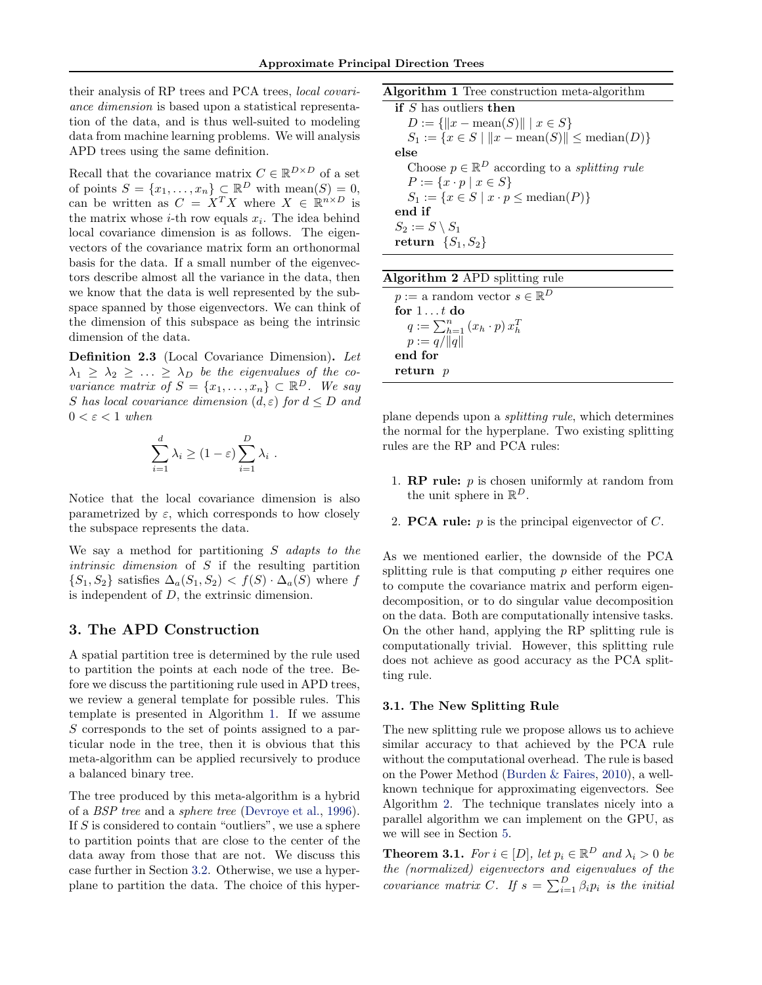<span id="page-2-0"></span>their analysis of RP trees and PCA trees, local covariance dimension is based upon a statistical representation of the data, and is thus well-suited to modeling data from machine learning problems. We will analysis APD trees using the same definition.

Recall that the covariance matrix  $C \in \mathbb{R}^{D \times D}$  of a set of points  $S = \{x_1, \ldots, x_n\} \subset \mathbb{R}^D$  with mean $(S) = 0$ , can be written as  $C = X^T X$  where  $X \in \mathbb{R}^{n \times D}$  is the matrix whose  $i$ -th row equals  $x_i$ . The idea behind local covariance dimension is as follows. The eigenvectors of the covariance matrix form an orthonormal basis for the data. If a small number of the eigenvectors describe almost all the variance in the data, then we know that the data is well represented by the subspace spanned by those eigenvectors. We can think of the dimension of this subspace as being the intrinsic dimension of the data.

Definition 2.3 (Local Covariance Dimension). Let  $\lambda_1 \geq \lambda_2 \geq \ldots \geq \lambda_D$  be the eigenvalues of the covariance matrix of  $S = \{x_1, \ldots, x_n\} \subset \mathbb{R}^D$ . We say S has local covariance dimension  $(d, \varepsilon)$  for  $d \leq D$  and  $0 < \varepsilon < 1$  when

$$
\sum_{i=1}^d \lambda_i \ge (1 - \varepsilon) \sum_{i=1}^D \lambda_i .
$$

Notice that the local covariance dimension is also parametrized by  $\varepsilon$ , which corresponds to how closely the subspace represents the data.

We say a method for partitioning S adapts to the intrinsic dimension of S if the resulting partition  ${S_1, S_2}$  satisfies  $\Delta_a(S_1, S_2) < f(S) \cdot \Delta_a(S)$  where f is independent of  $D$ , the extrinsic dimension.

# 3. The APD Construction

A spatial partition tree is determined by the rule used to partition the points at each node of the tree. Before we discuss the partitioning rule used in APD trees, we review a general template for possible rules. This template is presented in Algorithm 1. If we assume S corresponds to the set of points assigned to a particular node in the tree, then it is obvious that this meta-algorithm can be applied recursively to produce a balanced binary tree.

The tree produced by this meta-algorithm is a hybrid of a BSP tree and a sphere tree [\(Devroye et al.,](#page-7-0) [1996\)](#page-7-0). If  $S$  is considered to contain "outliers", we use a sphere to partition points that are close to the center of the data away from those that are not. We discuss this case further in Section [3.2.](#page-3-0) Otherwise, we use a hyperplane to partition the data. The choice of this hyperAlgorithm 1 Tree construction meta-algorithm

if S has outliers then  $D := \{ ||x - \text{mean}(S)|| \mid x \in S \}$  $S_1 := \{x \in S \mid ||x - \text{mean}(S)|| \le \text{median}(D)\}\$ else Choose  $p \in \mathbb{R}^D$  according to a *splitting rule*  $P := \{x \cdot p \mid x \in S\}$  $S_1 := \{x \in S \mid x \cdot p \leq \text{median}(P)\}\$ end if  $S_2 := S \setminus S_1$ return  $\{S_1, S_2\}$ 

| <b>Algorithm 2</b> APD splitting rule       |  |
|---------------------------------------------|--|
| $p := a$ random vector $s \in \mathbb{R}^D$ |  |
| for $1t$ do                                 |  |
| $q := \sum_{h=1}^n (x_h \cdot p) x_h^T$     |  |
| $p := q/  q  $                              |  |
| end for                                     |  |
| return $p$                                  |  |

plane depends upon a splitting rule, which determines the normal for the hyperplane. Two existing splitting rules are the RP and PCA rules:

- 1. **RP rule:**  $p$  is chosen uniformly at random from the unit sphere in  $\mathbb{R}^D$ .
- 2. **PCA rule:**  $p$  is the principal eigenvector of  $C$ .

As we mentioned earlier, the downside of the PCA splitting rule is that computing  $p$  either requires one to compute the covariance matrix and perform eigendecomposition, or to do singular value decomposition on the data. Both are computationally intensive tasks. On the other hand, applying the RP splitting rule is computationally trivial. However, this splitting rule does not achieve as good accuracy as the PCA splitting rule.

#### 3.1. The New Splitting Rule

The new splitting rule we propose allows us to achieve similar accuracy to that achieved by the PCA rule without the computational overhead. The rule is based on the Power Method [\(Burden & Faires,](#page-7-0) [2010\)](#page-7-0), a wellknown technique for approximating eigenvectors. See Algorithm 2. The technique translates nicely into a parallel algorithm we can implement on the GPU, as we will see in Section [5.](#page-6-0)

**Theorem 3.1.** For  $i \in [D]$ , let  $p_i \in \mathbb{R}^D$  and  $\lambda_i > 0$  be the (normalized) eigenvectors and eigenvalues of the covariance matrix C. If  $s = \sum_{i=1}^{D} \beta_i p_i$  is the initial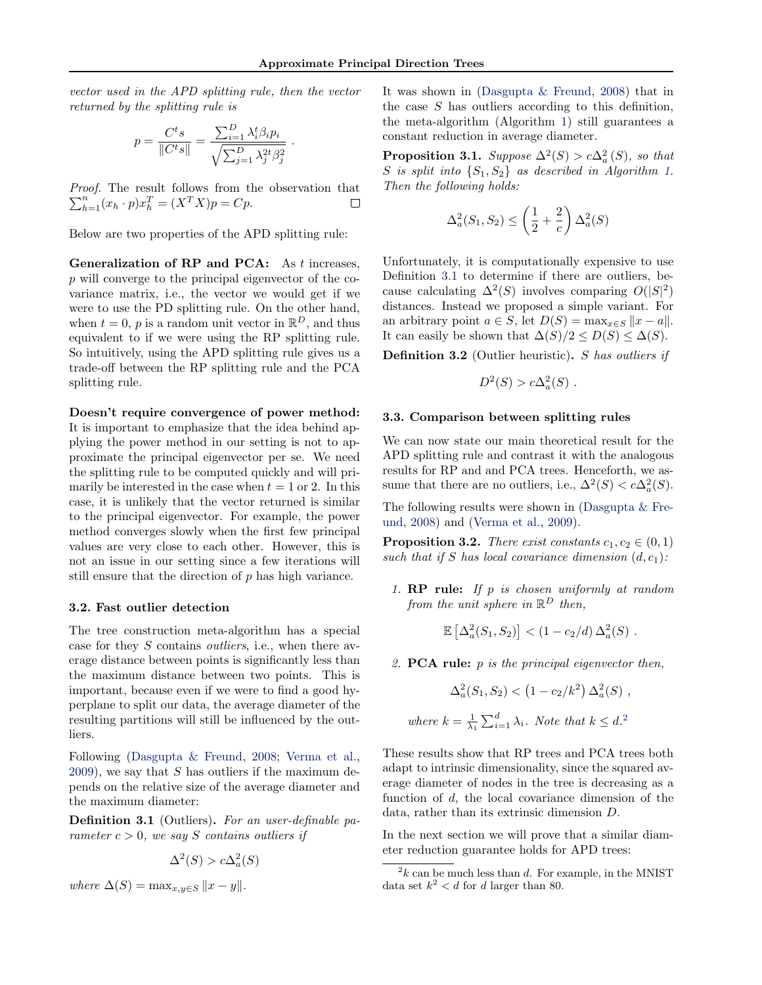<span id="page-3-0"></span>vector used in the APD splitting rule, then the vector returned by the splitting rule is

$$
p = \frac{C^t s}{\|C^t s\|} = \frac{\sum_{i=1}^D \lambda_i^t \beta_i p_i}{\sqrt{\sum_{j=1}^D \lambda_j^{2t} \beta_j^2}}
$$

.

Proof. The result follows from the observation that  $\sum_{h=1}^{n} (x_h \cdot p) x_h^T = (X^T X) p = C p.$ П

Below are two properties of the APD splitting rule:

Generalization of RP and PCA: As t increases, p will converge to the principal eigenvector of the covariance matrix, i.e., the vector we would get if we were to use the PD splitting rule. On the other hand, when  $t = 0$ , p is a random unit vector in  $\mathbb{R}^D$ , and thus equivalent to if we were using the RP splitting rule. So intuitively, using the APD splitting rule gives us a trade-off between the RP splitting rule and the PCA splitting rule.

Doesn't require convergence of power method: It is important to emphasize that the idea behind applying the power method in our setting is not to approximate the principal eigenvector per se. We need the splitting rule to be computed quickly and will primarily be interested in the case when  $t = 1$  or 2. In this case, it is unlikely that the vector returned is similar to the principal eigenvector. For example, the power method converges slowly when the first few principal values are very close to each other. However, this is not an issue in our setting since a few iterations will still ensure that the direction of p has high variance.

#### 3.2. Fast outlier detection

The tree construction meta-algorithm has a special case for they S contains outliers, i.e., when there average distance between points is significantly less than the maximum distance between two points. This is important, because even if we were to find a good hyperplane to split our data, the average diameter of the resulting partitions will still be influenced by the outliers.

Following [\(Dasgupta & Freund,](#page-7-0) [2008;](#page-7-0) [Verma et al.,](#page-7-0)  $2009$ , we say that S has outliers if the maximum depends on the relative size of the average diameter and the maximum diameter:

Definition 3.1 (Outliers). For an user-definable parameter  $c > 0$ , we say S contains outliers if

$$
\Delta^2(S) > c\Delta_a^2(S)
$$

where  $\Delta(S) = \max_{x,y \in S} ||x - y||$ .

It was shown in [\(Dasgupta & Freund,](#page-7-0) [2008\)](#page-7-0) that in the case S has outliers according to this definition, the meta-algorithm (Algorithm [1\)](#page-2-0) still guarantees a constant reduction in average diameter.

**Proposition 3.1.** Suppose  $\Delta^2(S) > c\Delta_a^2(S)$ , so that S is split into  $\{S_1, S_2\}$  as described in Algorithm [1.](#page-2-0) Then the following holds:

$$
\Delta_a^2(S_1, S_2) \le \left(\frac{1}{2} + \frac{2}{c}\right) \Delta_a^2(S)
$$

Unfortunately, it is computationally expensive to use Definition 3.1 to determine if there are outliers, because calculating  $\Delta^2(S)$  involves comparing  $O(|S|^2)$ distances. Instead we proposed a simple variant. For an arbitrary point  $a \in S$ , let  $D(S) = \max_{x \in S} ||x - a||$ . It can easily be shown that  $\Delta(S)/2 \leq D(S) \leq \Delta(S)$ .

Definition 3.2 (Outlier heuristic). S has outliers if

$$
D^2(S) > c\Delta_a^2(S) .
$$

### 3.3. Comparison between splitting rules

We can now state our main theoretical result for the APD splitting rule and contrast it with the analogous results for RP and and PCA trees. Henceforth, we assume that there are no outliers, i.e.,  $\Delta^2(S) < c\Delta_a^2(S)$ .

The following results were shown in [\(Dasgupta & Fre](#page-7-0)[und,](#page-7-0) [2008\)](#page-7-0) and [\(Verma et al.,](#page-7-0) [2009\)](#page-7-0).

**Proposition 3.2.** There exist constants  $c_1, c_2 \in (0, 1)$ such that if S has local covariance dimension  $(d, c_1)$ :

1. RP rule: If p is chosen uniformly at random from the unit sphere in  $\mathbb{R}^D$  then,

$$
\mathbb{E}\left[\Delta_a^2(S_1, S_2)\right] < (1 - c_2/d) \,\Delta_a^2(S) \; .
$$

2. **PCA rule:**  $p$  is the principal eigenvector then,

$$
\Delta_a^2(S_1, S_2) < \left(1 - c_2/k^2\right) \Delta_a^2(S) ,
$$
\nwhere  $k = \frac{1}{\lambda_1} \sum_{i=1}^d \lambda_i$ . Note that  $k \leq d$ .<sup>2</sup>

These results show that RP trees and PCA trees both adapt to intrinsic dimensionality, since the squared average diameter of nodes in the tree is decreasing as a function of d, the local covariance dimension of the data, rather than its extrinsic dimension D.

In the next section we will prove that a similar diameter reduction guarantee holds for APD trees:

 $2k$  can be much less than d. For example, in the MNIST data set  $k^2 < d$  for d larger than 80.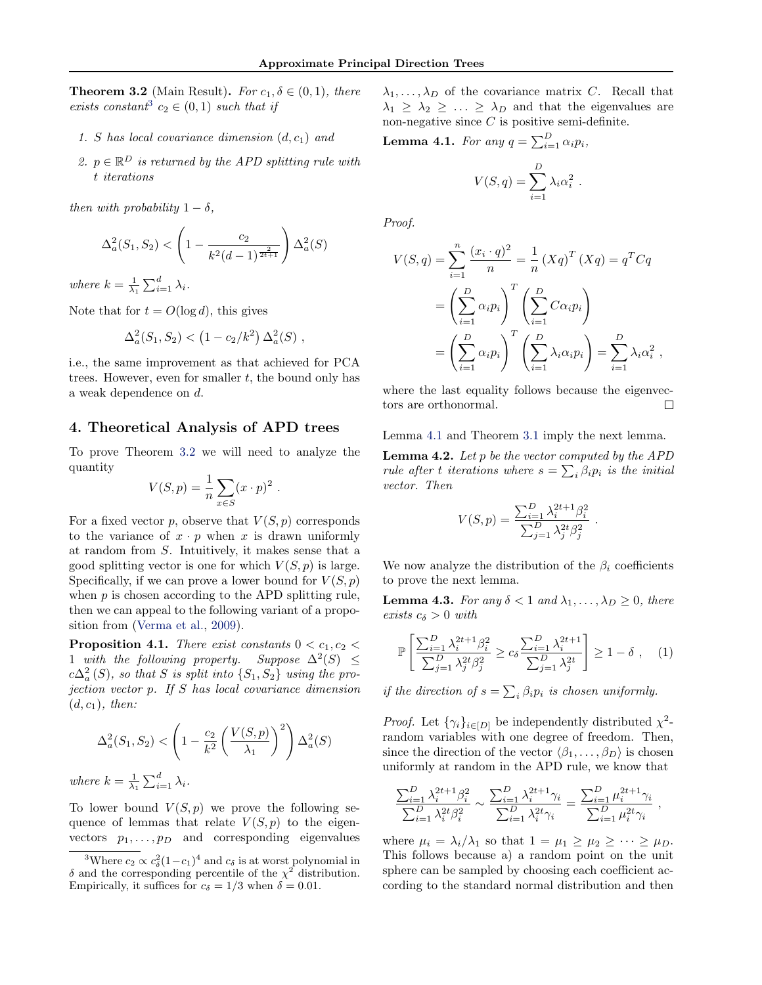<span id="page-4-0"></span>**Theorem 3.2** (Main Result). For  $c_1, \delta \in (0,1)$ , there exists constant<sup>3</sup>  $c_2 \in (0,1)$  such that if

- 1. S has local covariance dimension  $(d, c_1)$  and
- 2.  $p \in \mathbb{R}^D$  is returned by the APD splitting rule with t iterations

then with probability  $1 - \delta$ .

$$
\Delta_a^2(S_1, S_2) < \left(1 - \frac{c_2}{k^2(d-1)^{\frac{2}{2t+1}}}\right) \Delta_a^2(S)
$$

where  $k = \frac{1}{\lambda_1} \sum_{i=1}^d \lambda_i$ .

Note that for  $t = O(\log d)$ , this gives

$$
\Delta_a^2(S_1, S_2) < \left(1 - c_2/k^2\right) \Delta_a^2(S) \;,
$$

i.e., the same improvement as that achieved for PCA trees. However, even for smaller  $t$ , the bound only has a weak dependence on d.

# 4. Theoretical Analysis of APD trees

To prove Theorem [3.2](#page-3-0) we will need to analyze the quantity

$$
V(S, p) = \frac{1}{n} \sum_{x \in S} (x \cdot p)^2
$$

.

For a fixed vector p, observe that  $V(S, p)$  corresponds to the variance of  $x \cdot p$  when x is drawn uniformly at random from S. Intuitively, it makes sense that a good splitting vector is one for which  $V(S, p)$  is large. Specifically, if we can prove a lower bound for  $V(S, p)$ when  $p$  is chosen according to the APD splitting rule, then we can appeal to the following variant of a proposition from [\(Verma et al.,](#page-7-0) [2009\)](#page-7-0).

**Proposition 4.1.** There exist constants  $0 < c_1, c_2 <$ 1 with the following property. Suppose  $\Delta^2(S) \leq$  $c\Delta_a^2(S)$ , so that S is split into  $\{S_1, S_2\}$  using the projection vector p. If S has local covariance dimension  $(d, c_1)$ , then:

$$
\Delta_a^2(S_1, S_2) < \left(1 - \frac{c_2}{k^2} \left(\frac{V(S, p)}{\lambda_1}\right)^2\right) \Delta_a^2(S)
$$

where  $k = \frac{1}{\lambda_1} \sum_{i=1}^d \lambda_i$ .

To lower bound  $V(S, p)$  we prove the following sequence of lemmas that relate  $V(S, p)$  to the eigenvectors  $p_1, \ldots, p_D$  and corresponding eigenvalues  $\lambda_1, \ldots, \lambda_D$  of the covariance matrix C. Recall that  $\lambda_1 \geq \lambda_2 \geq \ldots \geq \lambda_D$  and that the eigenvalues are non-negative since  $C$  is positive semi-definite.

**Lemma 4.1.** For any  $q = \sum_{i=1}^{D} \alpha_i p_i$ ,

$$
V(S,q) = \sum_{i=1}^{D} \lambda_i \alpha_i^2.
$$

Proof.

$$
V(S,q) = \sum_{i=1}^{n} \frac{(x_i \cdot q)^2}{n} = \frac{1}{n} (Xq)^T (Xq) = q^T C q
$$

$$
= \left(\sum_{i=1}^{D} \alpha_i p_i\right)^T \left(\sum_{i=1}^{D} C \alpha_i p_i\right)
$$

$$
= \left(\sum_{i=1}^{D} \alpha_i p_i\right)^T \left(\sum_{i=1}^{D} \lambda_i \alpha_i p_i\right) = \sum_{i=1}^{D} \lambda_i \alpha_i^2
$$

where the last equality follows because the eigenvectors are orthonormal.  $\Box$ 

,

Lemma 4.1 and Theorem [3.1](#page-2-0) imply the next lemma.

**Lemma 4.2.** Let  $p$  be the vector computed by the APD rule after t iterations where  $s = \sum_i \beta_i p_i$  is the initial vector. Then

$$
V(S, p) = \frac{\sum_{i=1}^{D} \lambda_i^{2t+1} \beta_i^2}{\sum_{j=1}^{D} \lambda_j^{2t} \beta_j^2}
$$

.

We now analyze the distribution of the  $\beta_i$  coefficients to prove the next lemma.

**Lemma 4.3.** For any  $\delta < 1$  and  $\lambda_1, \ldots, \lambda_D \geq 0$ , there exists  $c_{\delta} > 0$  with

$$
\mathbb{P}\left[\frac{\sum_{i=1}^{D} \lambda_i^{2t+1} \beta_i^2}{\sum_{j=1}^{D} \lambda_j^{2t} \beta_j^2} \ge c_\delta \frac{\sum_{i=1}^{D} \lambda_i^{2t+1}}{\sum_{j=1}^{D} \lambda_j^{2t}}\right] \ge 1 - \delta ,\quad (1)
$$

if the direction of  $s = \sum_i \beta_i p_i$  is chosen uniformly.

*Proof.* Let  $\{\gamma_i\}_{i\in[D]}$  be independently distributed  $\chi^2$ random variables with one degree of freedom. Then, since the direction of the vector  $\langle \beta_1, \ldots, \beta_D \rangle$  is chosen uniformly at random in the APD rule, we know that

$$
\frac{\sum_{i=1}^{D} \lambda_i^{2t+1} \beta_i^2}{\sum_{i=1}^{D} \lambda_i^{2t} \beta_i^2} \sim \frac{\sum_{i=1}^{D} \lambda_i^{2t+1} \gamma_i}{\sum_{i=1}^{D} \lambda_i^{2t} \gamma_i} = \frac{\sum_{i=1}^{D} \mu_i^{2t+1} \gamma_i}{\sum_{i=1}^{D} \mu_i^{2t} \gamma_i} ,
$$

where  $\mu_i = \lambda_i/\lambda_1$  so that  $1 = \mu_1 \geq \mu_2 \geq \cdots \geq \mu_D$ . This follows because a) a random point on the unit sphere can be sampled by choosing each coefficient according to the standard normal distribution and then

<sup>&</sup>lt;sup>3</sup>Where  $c_2 \propto c_\delta^2 (1-c_1)^4$  and  $c_\delta$  is at worst polynomial in δ and the corresponding percentile of the  $\chi^2$  distribution. Empirically, it suffices for  $c_{\delta} = 1/3$  when  $\delta = 0.01$ .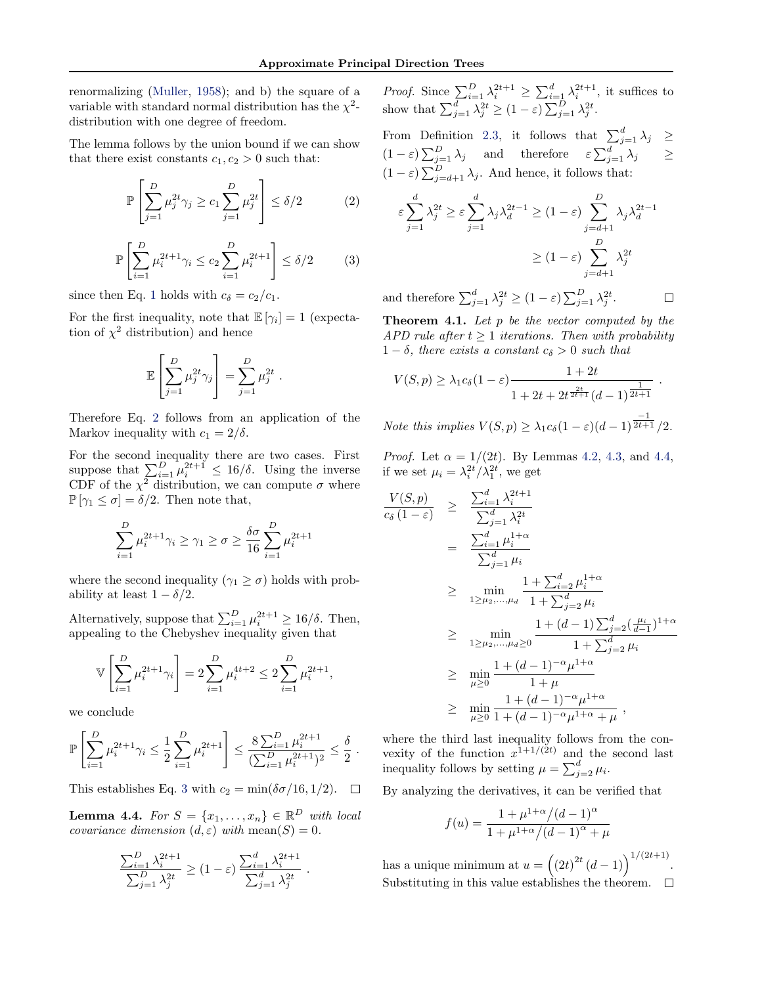renormalizing [\(Muller,](#page-7-0) [1958\)](#page-7-0); and b) the square of a variable with standard normal distribution has the  $\chi^2$ distribution with one degree of freedom.

The lemma follows by the union bound if we can show that there exist constants  $c_1, c_2 > 0$  such that:

$$
\mathbb{P}\left[\sum_{j=1}^{D} \mu_j^{2t} \gamma_j \ge c_1 \sum_{j=1}^{D} \mu_j^{2t}\right] \le \delta/2 \tag{2}
$$

$$
\mathbb{P}\left[\sum_{i=1}^{D} \mu_i^{2t+1} \gamma_i \le c_2 \sum_{i=1}^{D} \mu_i^{2t+1}\right] \le \delta/2 \tag{3}
$$

.

since then Eq. [1](#page-4-0) holds with  $c_{\delta} = c_2/c_1$ .

For the first inequality, note that  $\mathbb{E}[\gamma_i] = 1$  (expectation of  $\chi^2$  distribution) and hence

$$
\mathbb{E}\left[\sum_{j=1}^D\mu_j^{2t}\gamma_j\right] = \sum_{j=1}^D\mu_j^{2t}
$$

Therefore Eq. 2 follows from an application of the Markov inequality with  $c_1 = 2/\delta$ .

For the second inequality there are two cases. First suppose that  $\sum_{i=1}^{D} \mu_i^{2t+1} \leq 16/\delta$ . Using the inverse CDF of the  $\chi^2$  distribution, we can compute  $\sigma$  where  $\mathbb{P}[\gamma_1 \leq \sigma] = \delta/2$ . Then note that,

$$
\sum_{i=1}^{D} \mu_i^{2t+1} \gamma_i \ge \gamma_1 \ge \sigma \ge \frac{\delta \sigma}{16} \sum_{i=1}^{D} \mu_i^{2t+1}
$$

where the second inequality ( $\gamma_1 \geq \sigma$ ) holds with probability at least  $1 - \delta/2$ .

Alternatively, suppose that  $\sum_{i=1}^{D} \mu_i^{2t+1} \geq 16/\delta$ . Then, appealing to the Chebyshev inequality given that

$$
\mathbb{V}\left[\sum_{i=1}^D \mu_i^{2t+1} \gamma_i\right] = 2 \sum_{i=1}^D \mu_i^{4t+2} \le 2 \sum_{i=1}^D \mu_i^{2t+1},
$$

we conclude

$$
\mathbb{P}\left[\sum_{i=1}^D \mu_i^{2t+1} \gamma_i \le \frac{1}{2} \sum_{i=1}^D \mu_i^{2t+1}\right] \le \frac{8 \sum_{i=1}^D \mu_i^{2t+1}}{(\sum_{i=1}^D \mu_i^{2t+1})^2} \le \frac{\delta}{2}.
$$

This establishes Eq. 3 with  $c_2 = \min(\delta \sigma/16, 1/2)$ .  $\Box$ 

**Lemma 4.4.** For  $S = \{x_1, \ldots, x_n\} \in \mathbb{R}^D$  with local covariance dimension  $(d, \varepsilon)$  with mean $(S) = 0$ .

$$
\frac{\sum_{i=1}^{D} \lambda_i^{2t+1}}{\sum_{j=1}^{D} \lambda_j^{2t}} \ge (1-\varepsilon) \frac{\sum_{i=1}^{d} \lambda_i^{2t+1}}{\sum_{j=1}^{d} \lambda_j^{2t}}.
$$

*Proof.* Since  $\sum_{i=1}^{D} \lambda_i^{2t+1} \geq \sum_{i=1}^{d} \lambda_i^{2t+1}$ , it suffices to show that  $\sum_{j=1}^d \lambda_j^{2t} \ge (1-\varepsilon) \sum_{j=1}^D \lambda_j^{2t}$ .

From Definition [2.3,](#page-2-0) it follows that  $\sum_{j=1}^{d} \lambda_j \geq$  $(1-\varepsilon)\sum_{j=1}^D\lambda_j$  and therefore  $\varepsilon\sum_{j=1}^d\lambda_j \geq$  $(1 - \varepsilon) \sum_{j=d+1}^{D} \lambda_j$ . And hence, it follows that:

$$
\varepsilon \sum_{j=1}^{d} \lambda_j^{2t} \ge \varepsilon \sum_{j=1}^{d} \lambda_j \lambda_d^{2t-1} \ge (1 - \varepsilon) \sum_{j=d+1}^{D} \lambda_j \lambda_d^{2t-1}
$$

$$
\ge (1 - \varepsilon) \sum_{j=d+1}^{D} \lambda_j^{2t}
$$

and therefore  $\sum_{j=1}^d \lambda_j^{2t} \ge (1-\varepsilon) \sum_{j=1}^D \lambda_j^{2t}$ .  $\Box$ 

**Theorem 4.1.** Let  $p$  be the vector computed by the APD rule after  $t \geq 1$  iterations. Then with probability  $1 - \delta$ , there exists a constant  $c_{\delta} > 0$  such that

$$
V(S, p) \ge \lambda_1 c_{\delta} (1 - \varepsilon) \frac{1 + 2t}{1 + 2t + 2t^{\frac{2t}{2t+1}} (d-1)^{\frac{1}{2t+1}}}.
$$

*Note this implies*  $V(S, p) \geq \lambda_1 c_{\delta} (1 - \varepsilon) (d - 1)^{\frac{1}{2t+1}} / 2$ .

*Proof.* Let  $\alpha = 1/(2t)$ . By Lemmas [4.2,](#page-4-0) [4.3,](#page-4-0) and 4.4, if we set  $\mu_i = \lambda_i^{2t} / \lambda_1^{2t}$ , we get

$$
\frac{V(S,p)}{c_{\delta}(1-\varepsilon)} \geq \frac{\sum_{i=1}^{d} \lambda_{i}^{2t+1}}{\sum_{j=1}^{d} \lambda_{i}^{2t}} \n= \frac{\sum_{i=1}^{d} \mu_{i}^{1+\alpha}}{\sum_{j=1}^{d} \mu_{i}} \n\geq \min_{1\geq\mu_{2},...,\mu_{d}} \frac{1+\sum_{i=2}^{d} \mu_{i}^{1+\alpha}}{1+\sum_{j=2}^{d} \mu_{i}} \n\geq \min_{1\geq\mu_{2},..., \mu_{d}\geq 0} \frac{1+(d-1)\sum_{j=2}^{d} (\frac{\mu_{i}}{d-1})^{1+\alpha}}{1+\sum_{j=2}^{d} \mu_{i}} \n\geq \min_{\mu\geq 0} \frac{1+(d-1)^{-\alpha} \mu^{1+\alpha}}{1+\mu} \n\geq \min_{\mu\geq 0} \frac{1+(d-1)^{-\alpha} \mu^{1+\alpha}}{1+(d-1)^{-\alpha} \mu^{1+\alpha}+\mu},
$$

where the third last inequality follows from the convexity of the function  $x^{1+1/(2t)}$  and the second last inequality follows by setting  $\mu = \sum_{j=2}^{d} \mu_i$ .

By analyzing the derivatives, it can be verified that

$$
f(u) = \frac{1 + \mu^{1 + \alpha} / (d - 1)^{\alpha}}{1 + \mu^{1 + \alpha} / (d - 1)^{\alpha} + \mu}
$$

has a unique minimum at  $u = ((2t)^{2t} (d-1))^{1/(2t+1)}$ . Substituting in this value establishes the theorem.  $\Box$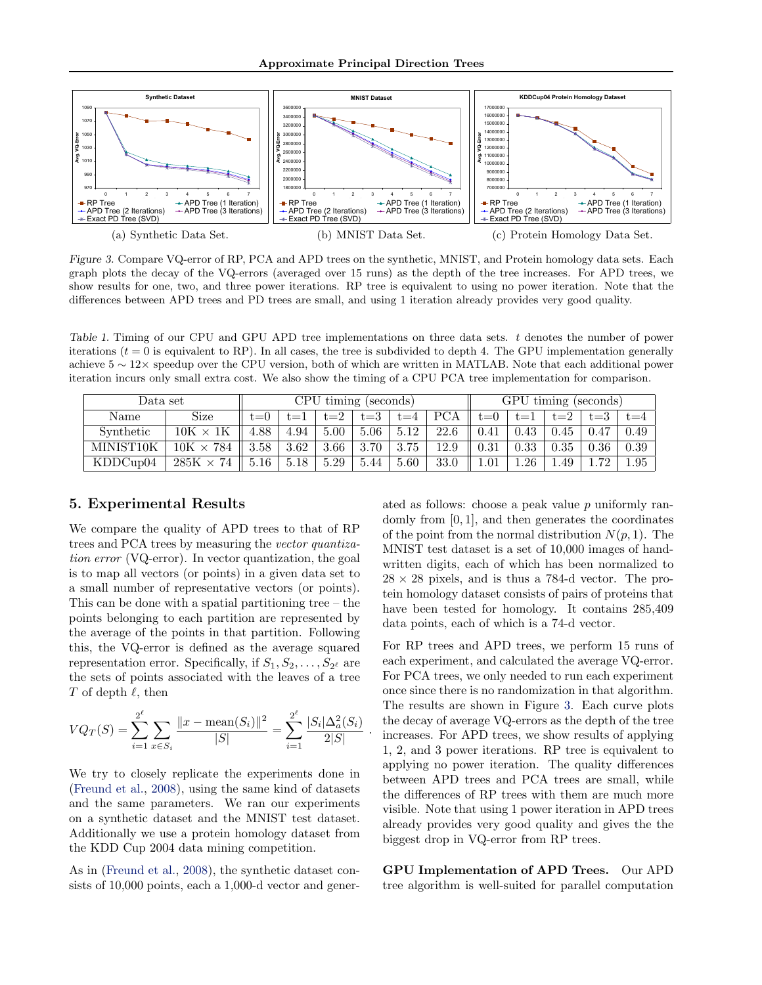<span id="page-6-0"></span>

Figure 3. Compare VQ-error of RP, PCA and APD trees on the synthetic, MNIST, and Protein homology data sets. Each graph plots the decay of the VQ-errors (averaged over 15 runs) as the depth of the tree increases. For APD trees, we show results for one, two, and three power iterations. RP tree is equivalent to using no power iteration. Note that the differences between APD trees and PD trees are small, and using 1 iteration already provides very good quality.

Table 1. Timing of our CPU and GPU APD tree implementations on three data sets. t denotes the number of power iterations  $(t = 0$  is equivalent to RP). In all cases, the tree is subdivided to depth 4. The GPU implementation generally achieve 5 ∼ 12× speedup over the CPU version, both of which are written in MATLAB. Note that each additional power iteration incurs only small extra cost. We also show the timing of a CPU PCA tree implementation for comparison.

| Data set  |                     | CPU timing (seconds) |      |      |      |         | GPU timing (seconds) |            |      |        |         |      |
|-----------|---------------------|----------------------|------|------|------|---------|----------------------|------------|------|--------|---------|------|
| Name      | Size                | $t=0$                |      |      | t=3  | $t = 4$ | PCA                  | t≡U        | t.=  | $:= 2$ | $t = 3$ | í.—4 |
| Synthetic | $10K \times$        | 4.88                 | 4.94 | 5.00 | 5.06 | 5.12    | 22.6                 | $\rm 0.41$ | 0.43 | 0.45   | 0.47    | 0.49 |
| MINIST10K | $10K \times 784$    | 3.58                 | 3.62 | 3.66 | 3.70 | 3.75    | 12.9                 | $\rm 0.31$ | 0.33 | 0.35   | 0.36    | 0.39 |
| KDDCup04  | 74<br>$285K \times$ | 16                   | 5.18 | 5.29 | 5.44 | 5.60    | 33.0                 | $1.01\,$   | 1.26 | .49    | . 79    | 1.95 |

.

## 5. Experimental Results

We compare the quality of APD trees to that of RP trees and PCA trees by measuring the vector quantization error (VQ-error). In vector quantization, the goal is to map all vectors (or points) in a given data set to a small number of representative vectors (or points). This can be done with a spatial partitioning tree – the points belonging to each partition are represented by the average of the points in that partition. Following this, the VQ-error is defined as the average squared representation error. Specifically, if  $S_1, S_2, \ldots, S_{2^{\ell}}$  are the sets of points associated with the leaves of a tree T of depth  $\ell$ , then

$$
VQ_T(S) = \sum_{i=1}^{2^{\ell}} \sum_{x \in S_i} \frac{||x - \text{mean}(S_i)||^2}{|S|} = \sum_{i=1}^{2^{\ell}} \frac{|S_i| \Delta_a^2(S_i)}{2|S|}
$$

We try to closely replicate the experiments done in [\(Freund et al.,](#page-7-0) [2008\)](#page-7-0), using the same kind of datasets and the same parameters. We ran our experiments on a synthetic dataset and the MNIST test dataset. Additionally we use a protein homology dataset from the KDD Cup 2004 data mining competition.

As in [\(Freund et al.,](#page-7-0) [2008\)](#page-7-0), the synthetic dataset consists of 10,000 points, each a 1,000-d vector and generated as follows: choose a peak value  $p$  uniformly randomly from [0, 1], and then generates the coordinates of the point from the normal distribution  $N(p, 1)$ . The MNIST test dataset is a set of 10,000 images of handwritten digits, each of which has been normalized to  $28 \times 28$  pixels, and is thus a 784-d vector. The protein homology dataset consists of pairs of proteins that have been tested for homology. It contains 285,409 data points, each of which is a 74-d vector.

For RP trees and APD trees, we perform 15 runs of each experiment, and calculated the average VQ-error. For PCA trees, we only needed to run each experiment once since there is no randomization in that algorithm. The results are shown in Figure 3. Each curve plots the decay of average VQ-errors as the depth of the tree increases. For APD trees, we show results of applying 1, 2, and 3 power iterations. RP tree is equivalent to applying no power iteration. The quality differences between APD trees and PCA trees are small, while the differences of RP trees with them are much more visible. Note that using 1 power iteration in APD trees already provides very good quality and gives the the biggest drop in VQ-error from RP trees.

GPU Implementation of APD Trees. Our APD tree algorithm is well-suited for parallel computation